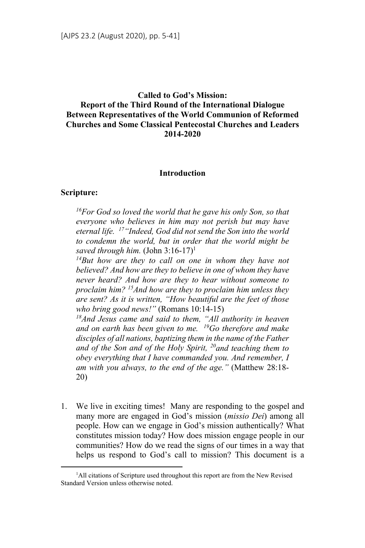# **Called to God's Mission: Report of the Third Round of the International Dialogue Between Representatives of the World Communion of Reformed Churches and Some Classical Pentecostal Churches and Leaders 2014-2020**

#### **Introduction**

#### **Scripture:**

*16For God so loved the world that he gave his only Son, so that everyone who believes in him may not perish but may have eternal life. 17"Indeed, God did not send the Son into the world to condemn the world, but in order that the world might be saved through him.* (John 3:16-17)<sup>1</sup>

*14But how are they to call on one in whom they have not believed? And how are they to believe in one of whom they have never heard? And how are they to hear without someone to proclaim him? 15And how are they to proclaim him unless they are sent? As it is written, "How beautiful are the feet of those who bring good news!"* (Romans 10:14-15)

*18And Jesus came and said to them, "All authority in heaven and on earth has been given to me. 19Go therefore and make disciples of all nations, baptizing them in the name of the Father and of the Son and of the Holy Spirit, 20and teaching them to obey everything that I have commanded you. And remember, I am with you always, to the end of the age."* (Matthew 28:18- 20)

1. We live in exciting times! Many are responding to the gospel and many more are engaged in God's mission (*missio Dei*) among all people. How can we engage in God's mission authentically? What constitutes mission today? How does mission engage people in our communities? How do we read the signs of our times in a way that helps us respond to God's call to mission? This document is a

 $\frac{1}{1}$ <sup>1</sup>All citations of Scripture used throughout this report are from the New Revised Standard Version unless otherwise noted.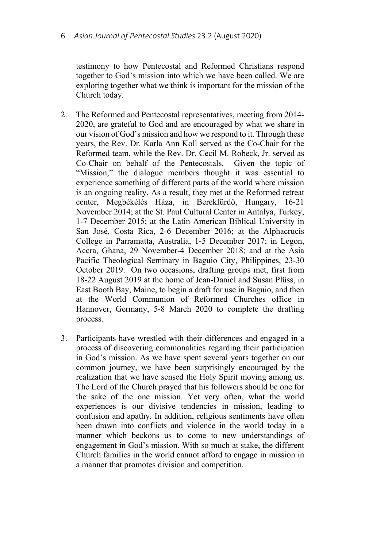testimony to how Pentecostal and Reformed Christians respond together to God's mission into which we have been called. We are exploring together what we think is important for the mission of the Church today.

- 2. The Reformed and Pentecostal representatives, meeting from 2014- 2020, are grateful to God and are encouraged by what we share in our vision of God's mission and how we respond to it. Through these years, the Rev. Dr. Karla Ann Koll served as the Co-Chair for the Reformed team, while the Rev. Dr. Cecil M. Robeck, Jr. served as Co-Chair on behalf of the Pentecostals. Given the topic of "Mission," the dialogue members thought it was essential to experience something of different parts of the world where mission is an ongoing reality. As a result, they met at the Reformed retreat center, Megbékélés Háza, in Berekfürdő, Hungary, 16-21 November 2014; at the St. Paul Cultural Center in Antalya, Turkey, 1-7 December 2015; at the Latin American Biblical University in San José, Costa Rica, 2-6 December 2016; at the Alphacrucis College in Parramatta, Australia, 1-5 December 2017; in Legon, Accra, Ghana, 29 November-4 December 2018; and at the Asia Pacific Theological Seminary in Baguio City, Philippines, 23-30 October 2019. On two occasions, drafting groups met, first from 18-22 August 2019 at the home of Jean-Daniel and Susan Plüss, in East Booth Bay, Maine, to begin a draft for use in Baguio, and then at the World Communion of Reformed Churches office in Hannover, Germany, 5-8 March 2020 to complete the drafting process.
- 3. Participants have wrestled with their differences and engaged in a process of discovering commonalities regarding their participation in God's mission. As we have spent several years together on our common journey, we have been surprisingly encouraged by the realization that we have sensed the Holy Spirit moving among us. The Lord of the Church prayed that his followers should be one for the sake of the one mission. Yet very often, what the world experiences is our divisive tendencies in mission, leading to confusion and apathy. In addition, religious sentiments have often been drawn into conflicts and violence in the world today in a manner which beckons us to come to new understandings of engagement in God's mission. With so much at stake, the different Church families in the world cannot afford to engage in mission in a manner that promotes division and competition.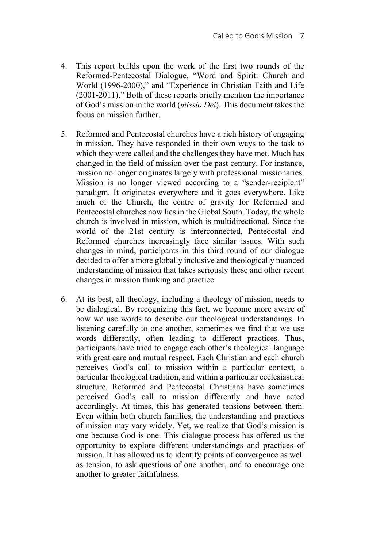- 4. This report builds upon the work of the first two rounds of the Reformed-Pentecostal Dialogue, "Word and Spirit: Church and World (1996-2000)," and "Experience in Christian Faith and Life (2001-2011)." Both of these reports briefly mention the importance of God's mission in the world (*missio Dei*). This document takes the focus on mission further.
- 5. Reformed and Pentecostal churches have a rich history of engaging in mission. They have responded in their own ways to the task to which they were called and the challenges they have met. Much has changed in the field of mission over the past century. For instance, mission no longer originates largely with professional missionaries. Mission is no longer viewed according to a "sender-recipient" paradigm. It originates everywhere and it goes everywhere. Like much of the Church, the centre of gravity for Reformed and Pentecostal churches now lies in the Global South. Today, the whole church is involved in mission, which is multidirectional. Since the world of the 21st century is interconnected, Pentecostal and Reformed churches increasingly face similar issues. With such changes in mind, participants in this third round of our dialogue decided to offer a more globally inclusive and theologically nuanced understanding of mission that takes seriously these and other recent changes in mission thinking and practice.
- 6. At its best, all theology, including a theology of mission, needs to be dialogical. By recognizing this fact, we become more aware of how we use words to describe our theological understandings. In listening carefully to one another, sometimes we find that we use words differently, often leading to different practices. Thus, participants have tried to engage each other's theological language with great care and mutual respect. Each Christian and each church perceives God's call to mission within a particular context, a particular theological tradition, and within a particular ecclesiastical structure. Reformed and Pentecostal Christians have sometimes perceived God's call to mission differently and have acted accordingly. At times, this has generated tensions between them. Even within both church families, the understanding and practices of mission may vary widely. Yet, we realize that God's mission is one because God is one. This dialogue process has offered us the opportunity to explore different understandings and practices of mission. It has allowed us to identify points of convergence as well as tension, to ask questions of one another, and to encourage one another to greater faithfulness.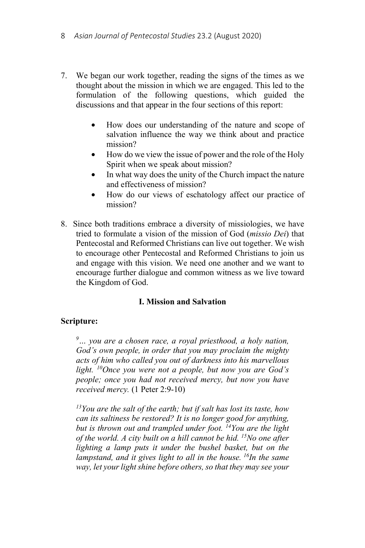- 7. We began our work together, reading the signs of the times as we thought about the mission in which we are engaged. This led to the formulation of the following questions, which guided the discussions and that appear in the four sections of this report:
	- How does our understanding of the nature and scope of salvation influence the way we think about and practice mission?
	- How do we view the issue of power and the role of the Holy Spirit when we speak about mission?
	- In what way does the unity of the Church impact the nature and effectiveness of mission?
	- How do our views of eschatology affect our practice of mission?
- 8. Since both traditions embrace a diversity of missiologies, we have tried to formulate a vision of the mission of God (*missio Dei*) that Pentecostal and Reformed Christians can live out together. We wish to encourage other Pentecostal and Reformed Christians to join us and engage with this vision. We need one another and we want to encourage further dialogue and common witness as we live toward the Kingdom of God.

# **I. Mission and Salvation**

# **Scripture:**

*9 … you are a chosen race, a royal priesthood, a holy nation, God's own people, in order that you may proclaim the mighty acts of him who called you out of darkness into his marvellous light. 10Once you were not a people, but now you are God's people; once you had not received mercy, but now you have received mercy.* (1 Peter 2:9-10)

*13You are the salt of the earth; but if salt has lost its taste, how can its saltiness be restored? It is no longer good for anything, but is thrown out and trampled under foot. 14You are the light of the world. A city built on a hill cannot be hid. 15No one after lighting a lamp puts it under the bushel basket, but on the lampstand, and it gives light to all in the house. 16In the same way, let your light shine before others, so that they may see your*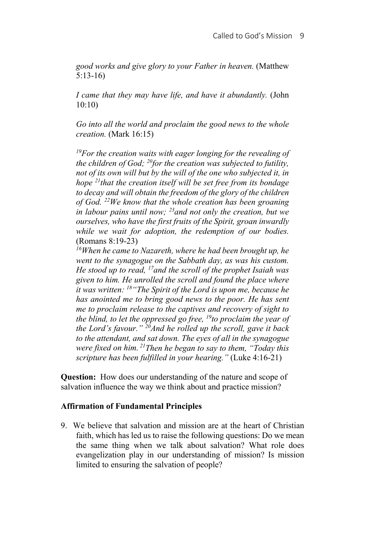*good works and give glory to your Father in heaven.* (Matthew 5:13-16)

*I came that they may have life, and have it abundantly.* (John 10:10)

*Go into all the world and proclaim the good news to the whole creation.* (Mark 16:15)

*19For the creation waits with eager longing for the revealing of the children of God; 20for the creation was subjected to futility, not of its own will but by the will of the one who subjected it, in hope 21that the creation itself will be set free from its bondage to decay and will obtain the freedom of the glory of the children of God. 22We know that the whole creation has been groaning in labour pains until now; 23and not only the creation, but we ourselves, who have the first fruits of the Spirit, groan inwardly while we wait for adoption, the redemption of our bodies.* (Romans 8:19-23)

*16When he came to Nazareth, where he had been brought up, he went to the synagogue on the Sabbath day, as was his custom. He stood up to read, 17and the scroll of the prophet Isaiah was given to him. He unrolled the scroll and found the place where it was written: 18"The Spirit of the Lord is upon me, because he has anointed me to bring good news to the poor. He has sent me to proclaim release to the captives and recovery of sight to the blind, to let the oppressed go free, 19to proclaim the year of the Lord's favour." 20And he rolled up the scroll, gave it back to the attendant, and sat down. The eyes of all in the synagogue were fixed on him. 21Then he began to say to them, "Today this scripture has been fulfilled in your hearing."* (Luke 4:16-21)

**Question:** How does our understanding of the nature and scope of salvation influence the way we think about and practice mission?

## **Affirmation of Fundamental Principles**

9. We believe that salvation and mission are at the heart of Christian faith, which has led us to raise the following questions: Do we mean the same thing when we talk about salvation? What role does evangelization play in our understanding of mission? Is mission limited to ensuring the salvation of people?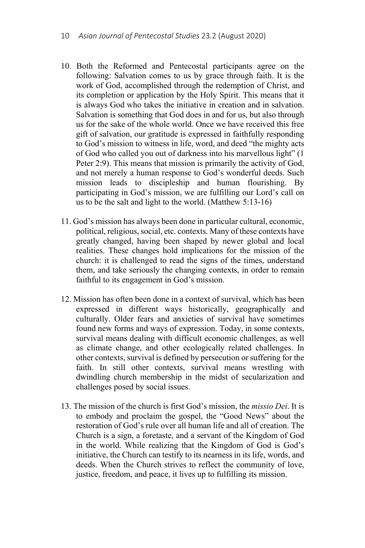- 10. Both the Reformed and Pentecostal participants agree on the following: Salvation comes to us by grace through faith. It is the work of God, accomplished through the redemption of Christ, and its completion or application by the Holy Spirit. This means that it is always God who takes the initiative in creation and in salvation. Salvation is something that God does in and for us, but also through us for the sake of the whole world. Once we have received this free gift of salvation, our gratitude is expressed in faithfully responding to God's mission to witness in life, word, and deed "the mighty acts of God who called you out of darkness into his marvellous light" (1 Peter 2:9). This means that mission is primarily the activity of God, and not merely a human response to God's wonderful deeds. Such mission leads to discipleship and human flourishing. By participating in God's mission, we are fulfilling our Lord's call on us to be the salt and light to the world. (Matthew 5:13-16)
- 11. God's mission has always been done in particular cultural, economic, political, religious, social, etc. contexts. Many of these contexts have greatly changed, having been shaped by newer global and local realities. These changes hold implications for the mission of the church: it is challenged to read the signs of the times, understand them, and take seriously the changing contexts, in order to remain faithful to its engagement in God's mission.
- 12. Mission has often been done in a context of survival, which has been expressed in different ways historically, geographically and culturally. Older fears and anxieties of survival have sometimes found new forms and ways of expression. Today, in some contexts, survival means dealing with difficult economic challenges, as well as climate change, and other ecologically related challenges. In other contexts, survival is defined by persecution or suffering for the faith. In still other contexts, survival means wrestling with dwindling church membership in the midst of secularization and challenges posed by social issues.
- 13. The mission of the church is first God's mission, the *missio Dei*. It is to embody and proclaim the gospel, the "Good News" about the restoration of God's rule over all human life and all of creation. The Church is a sign, a foretaste, and a servant of the Kingdom of God in the world. While realizing that the Kingdom of God is God's initiative, the Church can testify to its nearness in its life, words, and deeds. When the Church strives to reflect the community of love, justice, freedom, and peace, it lives up to fulfilling its mission.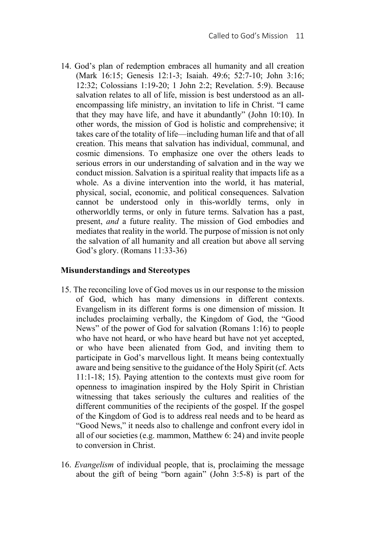14. God's plan of redemption embraces all humanity and all creation (Mark 16:15; Genesis 12:1-3; Isaiah. 49:6; 52:7-10; John 3:16; 12:32; Colossians 1:19-20; 1 John 2:2; Revelation. 5:9). Because salvation relates to all of life, mission is best understood as an allencompassing life ministry, an invitation to life in Christ. "I came that they may have life, and have it abundantly" (John 10:10). In other words, the mission of God is holistic and comprehensive; it takes care of the totality of life—including human life and that of all creation. This means that salvation has individual, communal, and cosmic dimensions. To emphasize one over the others leads to serious errors in our understanding of salvation and in the way we conduct mission. Salvation is a spiritual reality that impacts life as a whole. As a divine intervention into the world, it has material, physical, social, economic, and political consequences. Salvation cannot be understood only in this-worldly terms, only in otherworldly terms, or only in future terms. Salvation has a past, present, *and* a future reality. The mission of God embodies and mediates that reality in the world. The purpose of mission is not only the salvation of all humanity and all creation but above all serving God's glory. (Romans 11:33-36)

## **Misunderstandings and Stereotypes**

- 15. The reconciling love of God moves us in our response to the mission of God, which has many dimensions in different contexts. Evangelism in its different forms is one dimension of mission. It includes proclaiming verbally, the Kingdom of God, the "Good News" of the power of God for salvation (Romans 1:16) to people who have not heard, or who have heard but have not yet accepted, or who have been alienated from God, and inviting them to participate in God's marvellous light. It means being contextually aware and being sensitive to the guidance of the Holy Spirit (cf. Acts 11:1-18; 15). Paying attention to the contexts must give room for openness to imagination inspired by the Holy Spirit in Christian witnessing that takes seriously the cultures and realities of the different communities of the recipients of the gospel. If the gospel of the Kingdom of God is to address real needs and to be heard as "Good News," it needs also to challenge and confront every idol in all of our societies (e.g. mammon, Matthew 6: 24) and invite people to conversion in Christ.
- 16. *Evangelism* of individual people, that is, proclaiming the message about the gift of being "born again" (John 3:5-8) is part of the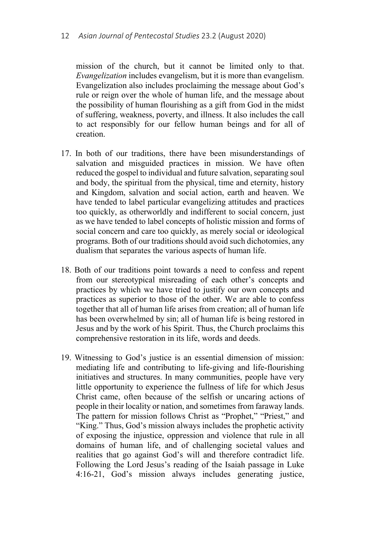mission of the church, but it cannot be limited only to that. *Evangelization* includes evangelism, but it is more than evangelism. Evangelization also includes proclaiming the message about God's rule or reign over the whole of human life, and the message about the possibility of human flourishing as a gift from God in the midst of suffering, weakness, poverty, and illness. It also includes the call to act responsibly for our fellow human beings and for all of creation.

- 17. In both of our traditions, there have been misunderstandings of salvation and misguided practices in mission. We have often reduced the gospel to individual and future salvation, separating soul and body, the spiritual from the physical, time and eternity, history and Kingdom, salvation and social action, earth and heaven. We have tended to label particular evangelizing attitudes and practices too quickly, as otherworldly and indifferent to social concern, just as we have tended to label concepts of holistic mission and forms of social concern and care too quickly, as merely social or ideological programs. Both of our traditions should avoid such dichotomies, any dualism that separates the various aspects of human life.
- 18. Both of our traditions point towards a need to confess and repent from our stereotypical misreading of each other's concepts and practices by which we have tried to justify our own concepts and practices as superior to those of the other. We are able to confess together that all of human life arises from creation; all of human life has been overwhelmed by sin; all of human life is being restored in Jesus and by the work of his Spirit. Thus, the Church proclaims this comprehensive restoration in its life, words and deeds.
- 19. Witnessing to God's justice is an essential dimension of mission: mediating life and contributing to life-giving and life-flourishing initiatives and structures. In many communities, people have very little opportunity to experience the fullness of life for which Jesus Christ came, often because of the selfish or uncaring actions of people in their locality or nation, and sometimes from faraway lands. The pattern for mission follows Christ as "Prophet," "Priest," and "King." Thus, God's mission always includes the prophetic activity of exposing the injustice, oppression and violence that rule in all domains of human life, and of challenging societal values and realities that go against God's will and therefore contradict life. Following the Lord Jesus's reading of the Isaiah passage in Luke 4:16-21, God's mission always includes generating justice,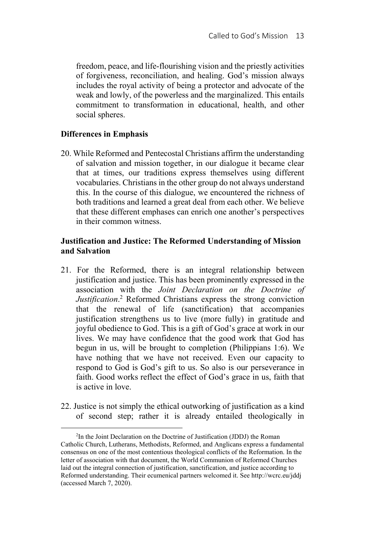freedom, peace, and life-flourishing vision and the priestly activities of forgiveness, reconciliation, and healing. God's mission always includes the royal activity of being a protector and advocate of the weak and lowly, of the powerless and the marginalized. This entails commitment to transformation in educational, health, and other social spheres.

## **Differences in Emphasis**

20. While Reformed and Pentecostal Christians affirm the understanding of salvation and mission together, in our dialogue it became clear that at times, our traditions express themselves using different vocabularies. Christians in the other group do not always understand this. In the course of this dialogue, we encountered the richness of both traditions and learned a great deal from each other. We believe that these different emphases can enrich one another's perspectives in their common witness.

## **Justification and Justice: The Reformed Understanding of Mission and Salvation**

- 21. For the Reformed, there is an integral relationship between justification and justice. This has been prominently expressed in the association with the *Joint Declaration on the Doctrine of Justification*. 2 Reformed Christians express the strong conviction that the renewal of life (sanctification) that accompanies justification strengthens us to live (more fully) in gratitude and joyful obedience to God. This is a gift of God's grace at work in our lives. We may have confidence that the good work that God has begun in us, will be brought to completion (Philippians 1:6). We have nothing that we have not received. Even our capacity to respond to God is God's gift to us. So also is our perseverance in faith. Good works reflect the effect of God's grace in us, faith that is active in love.
- 22. Justice is not simply the ethical outworking of justification as a kind of second step; rather it is already entailed theologically in

 $\overline{a}$  $2$ In the Joint Declaration on the Doctrine of Justification (JDDJ) the Roman Catholic Church, Lutherans, Methodists, Reformed, and Anglicans express a fundamental consensus on one of the most contentious theological conflicts of the Reformation. In the letter of association with that document, the World Communion of Reformed Churches laid out the integral connection of justification, sanctification, and justice according to Reformed understanding. Their ecumenical partners welcomed it. See http://wcrc.eu/jddj (accessed March 7, 2020).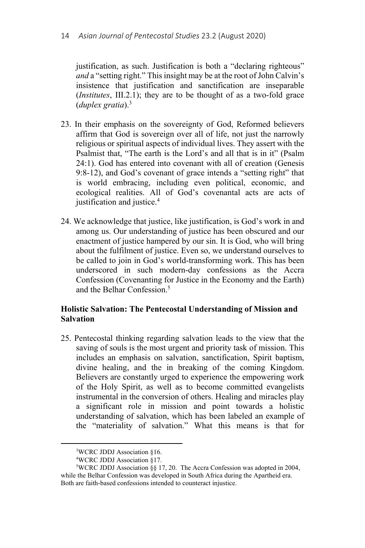justification, as such. Justification is both a "declaring righteous" *and* a "setting right." This insight may be at the root of John Calvin's insistence that justification and sanctification are inseparable (*Institutes*, III.2.1); they are to be thought of as a two-fold grace (*duplex gratia*).3

- 23. In their emphasis on the sovereignty of God, Reformed believers affirm that God is sovereign over all of life, not just the narrowly religious or spiritual aspects of individual lives. They assert with the Psalmist that, "The earth is the Lord's and all that is in it" (Psalm 24:1). God has entered into covenant with all of creation (Genesis 9:8-12), and God's covenant of grace intends a "setting right" that is world embracing, including even political, economic, and ecological realities. All of God's covenantal acts are acts of justification and justice.4
- 24. We acknowledge that justice, like justification, is God's work in and among us. Our understanding of justice has been obscured and our enactment of justice hampered by our sin. It is God, who will bring about the fulfilment of justice. Even so, we understand ourselves to be called to join in God's world-transforming work. This has been underscored in such modern-day confessions as the Accra Confession (Covenanting for Justice in the Economy and the Earth) and the Belhar Confession.<sup>5</sup>

## **Holistic Salvation: The Pentecostal Understanding of Mission and Salvation**

25. Pentecostal thinking regarding salvation leads to the view that the saving of souls is the most urgent and priority task of mission. This includes an emphasis on salvation, sanctification, Spirit baptism, divine healing, and the in breaking of the coming Kingdom. Believers are constantly urged to experience the empowering work of the Holy Spirit, as well as to become committed evangelists instrumental in the conversion of others. Healing and miracles play a significant role in mission and point towards a holistic understanding of salvation, which has been labeled an example of the "materiality of salvation." What this means is that for

 $\frac{1}{3}$ WCRC JDDJ Association §16.

<sup>4</sup> WCRC JDDJ Association §17.

<sup>5</sup> WCRC JDDJ Association §§ 17, 20. The Accra Confession was adopted in 2004, while the Belhar Confession was developed in South Africa during the Apartheid era. Both are faith-based confessions intended to counteract injustice.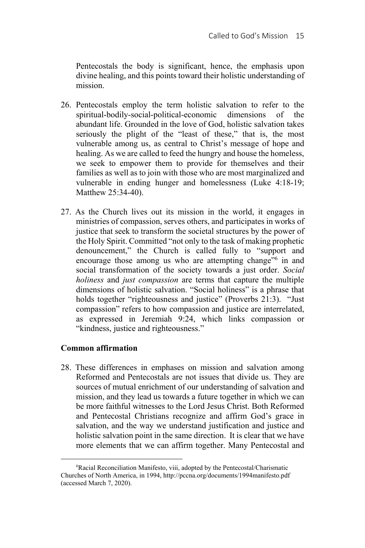Pentecostals the body is significant, hence, the emphasis upon divine healing, and this points toward their holistic understanding of mission.

- 26. Pentecostals employ the term holistic salvation to refer to the spiritual-bodily-social-political-economic dimensions of the abundant life. Grounded in the love of God, holistic salvation takes seriously the plight of the "least of these," that is, the most vulnerable among us, as central to Christ's message of hope and healing. As we are called to feed the hungry and house the homeless, we seek to empower them to provide for themselves and their families as well as to join with those who are most marginalized and vulnerable in ending hunger and homelessness (Luke 4:18-19; Matthew 25:34-40).
- 27. As the Church lives out its mission in the world, it engages in ministries of compassion, serves others, and participates in works of justice that seek to transform the societal structures by the power of the Holy Spirit. Committed "not only to the task of making prophetic denouncement," the Church is called fully to "support and encourage those among us who are attempting change"<sup>6</sup> in and social transformation of the society towards a just order. *Social holiness* and *just compassion* are terms that capture the multiple dimensions of holistic salvation. "Social holiness" is a phrase that holds together "righteousness and justice" (Proverbs 21:3). "Just compassion" refers to how compassion and justice are interrelated, as expressed in Jeremiah 9:24, which links compassion or "kindness, justice and righteousness."

# **Common affirmation**

28. These differences in emphases on mission and salvation among Reformed and Pentecostals are not issues that divide us. They are sources of mutual enrichment of our understanding of salvation and mission, and they lead us towards a future together in which we can be more faithful witnesses to the Lord Jesus Christ. Both Reformed and Pentecostal Christians recognize and affirm God's grace in salvation, and the way we understand justification and justice and holistic salvation point in the same direction. It is clear that we have more elements that we can affirm together. Many Pentecostal and

 $\overline{\phantom{0}}$ Racial Reconciliation Manifesto, viii, adopted by the Pentecostal/Charismatic Churches of North America, in 1994, http://pccna.org/documents/1994manifesto.pdf (accessed March 7, 2020).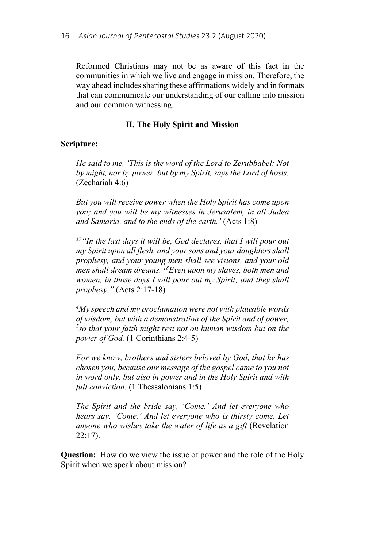Reformed Christians may not be as aware of this fact in the communities in which we live and engage in mission. Therefore, the way ahead includes sharing these affirmations widely and in formats that can communicate our understanding of our calling into mission and our common witnessing.

## **II. The Holy Spirit and Mission**

#### **Scripture:**

*He said to me, 'This is the word of the Lord to Zerubbabel: Not by might, nor by power, but by my Spirit, says the Lord of hosts.* (Zechariah 4:6)

*But you will receive power when the Holy Spirit has come upon you; and you will be my witnesses in Jerusalem, in all Judea and Samaria, and to the ends of the earth.'* (Acts 1:8)

*17"In the last days it will be, God declares, that I will pour out my Spirit upon all flesh, and your sons and your daughters shall prophesy, and your young men shall see visions, and your old men shall dream dreams. 18Even upon my slaves, both men and women, in those days I will pour out my Spirit; and they shall prophesy."* (Acts 2:17-18)

*4 My speech and my proclamation were not with plausible words of wisdom, but with a demonstration of the Spirit and of power, 5 so that your faith might rest not on human wisdom but on the power of God.* (1 Corinthians 2:4-5)

*For we know, brothers and sisters beloved by God, that he has chosen you, because our message of the gospel came to you not in word only, but also in power and in the Holy Spirit and with full conviction.* (1 Thessalonians 1:5)

*The Spirit and the bride say, 'Come.' And let everyone who hears say, 'Come.' And let everyone who is thirsty come. Let anyone who wishes take the water of life as a gift* (Revelation 22:17).

**Question:** How do we view the issue of power and the role of the Holy Spirit when we speak about mission?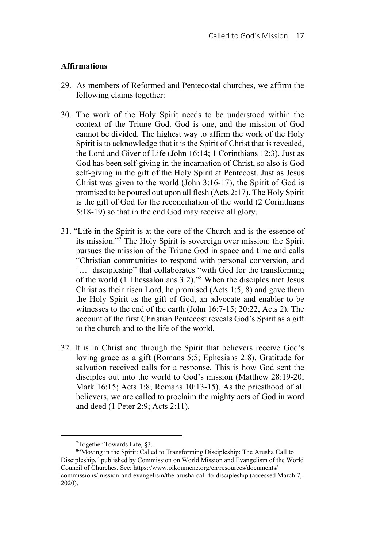## **Affirmations**

- 29. As members of Reformed and Pentecostal churches, we affirm the following claims together:
- 30. The work of the Holy Spirit needs to be understood within the context of the Triune God. God is one, and the mission of God cannot be divided. The highest way to affirm the work of the Holy Spirit is to acknowledge that it is the Spirit of Christ that is revealed, the Lord and Giver of Life (John 16:14; 1 Corinthians 12:3). Just as God has been self-giving in the incarnation of Christ, so also is God self-giving in the gift of the Holy Spirit at Pentecost. Just as Jesus Christ was given to the world (John 3:16-17), the Spirit of God is promised to be poured out upon all flesh (Acts 2:17). The Holy Spirit is the gift of God for the reconciliation of the world (2 Corinthians 5:18-19) so that in the end God may receive all glory.
- 31. "Life in the Spirit is at the core of the Church and is the essence of its mission."7 The Holy Spirit is sovereign over mission: the Spirit pursues the mission of the Triune God in space and time and calls "Christian communities to respond with personal conversion, and [...] discipleship" that collaborates "with God for the transforming of the world (1 Thessalonians 3:2)."8 When the disciples met Jesus Christ as their risen Lord, he promised (Acts 1:5, 8) and gave them the Holy Spirit as the gift of God, an advocate and enabler to be witnesses to the end of the earth (John 16:7-15; 20:22, Acts 2). The account of the first Christian Pentecost reveals God's Spirit as a gift to the church and to the life of the world.
- 32. It is in Christ and through the Spirit that believers receive God's loving grace as a gift (Romans 5:5; Ephesians 2:8). Gratitude for salvation received calls for a response. This is how God sent the disciples out into the world to God's mission (Matthew 28:19-20; Mark 16:15; Acts 1:8; Romans 10:13-15). As the priesthood of all believers, we are called to proclaim the mighty acts of God in word and deed (1 Peter 2:9; Acts 2:11).

 $\frac{1}{7}$ Together Towards Life, §3.

<sup>8</sup> "Moving in the Spirit: Called to Transforming Discipleship: The Arusha Call to Discipleship," published by Commission on World Mission and Evangelism of the World Council of Churches. See: https://www.oikoumene.org/en/resources/documents/ commissions/mission-and-evangelism/the-arusha-call-to-discipleship (accessed March 7, 2020).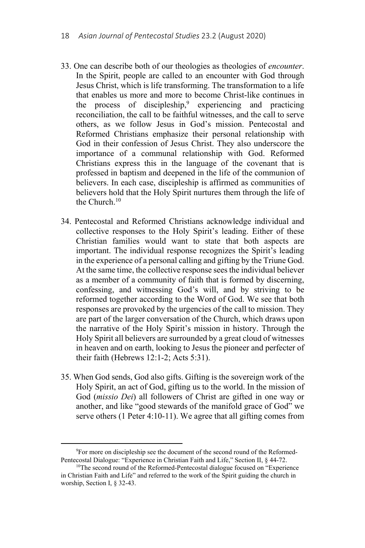- 33. One can describe both of our theologies as theologies of *encounter*. In the Spirit, people are called to an encounter with God through Jesus Christ, which is life transforming. The transformation to a life that enables us more and more to become Christ-like continues in the process of discipleship,<sup>9</sup> experiencing and practicing reconciliation, the call to be faithful witnesses, and the call to serve others, as we follow Jesus in God's mission. Pentecostal and Reformed Christians emphasize their personal relationship with God in their confession of Jesus Christ. They also underscore the importance of a communal relationship with God. Reformed Christians express this in the language of the covenant that is professed in baptism and deepened in the life of the communion of believers. In each case, discipleship is affirmed as communities of believers hold that the Holy Spirit nurtures them through the life of the Church.10
- 34. Pentecostal and Reformed Christians acknowledge individual and collective responses to the Holy Spirit's leading. Either of these Christian families would want to state that both aspects are important. The individual response recognizes the Spirit's leading in the experience of a personal calling and gifting by the Triune God. At the same time, the collective response sees the individual believer as a member of a community of faith that is formed by discerning, confessing, and witnessing God's will, and by striving to be reformed together according to the Word of God. We see that both responses are provoked by the urgencies of the call to mission. They are part of the larger conversation of the Church, which draws upon the narrative of the Holy Spirit's mission in history. Through the Holy Spirit all believers are surrounded by a great cloud of witnesses in heaven and on earth, looking to Jesus the pioneer and perfecter of their faith (Hebrews 12:1-2; Acts 5:31).
- 35. When God sends, God also gifts. Gifting is the sovereign work of the Holy Spirit, an act of God, gifting us to the world. In the mission of God (*missio Dei*) all followers of Christ are gifted in one way or another, and like "good stewards of the manifold grace of God" we serve others (1 Peter 4:10-11). We agree that all gifting comes from

 $\frac{1}{9}$ <sup>9</sup>For more on discipleship see the document of the second round of the Reformed-Pentecostal Dialogue: "Experience in Christian Faith and Life," Section II, § 44-72.

<sup>&</sup>lt;sup>10</sup>The second round of the Reformed-Pentecostal dialogue focused on "Experience in Christian Faith and Life" and referred to the work of the Spirit guiding the church in worship, Section I, § 32-43.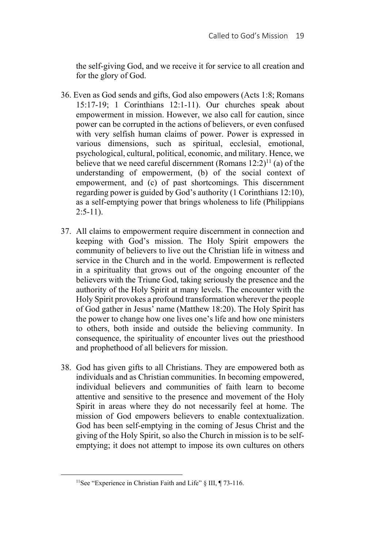the self-giving God, and we receive it for service to all creation and for the glory of God.

- 36. Even as God sends and gifts, God also empowers (Acts 1:8; Romans 15:17-19; 1 Corinthians 12:1-11). Our churches speak about empowerment in mission. However, we also call for caution, since power can be corrupted in the actions of believers, or even confused with very selfish human claims of power. Power is expressed in various dimensions, such as spiritual, ecclesial, emotional, psychological, cultural, political, economic, and military. Hence, we believe that we need careful discernment (Romans  $12:2$ )<sup>11</sup> (a) of the understanding of empowerment, (b) of the social context of empowerment, and (c) of past shortcomings. This discernment regarding power is guided by God's authority (1 Corinthians 12:10), as a self-emptying power that brings wholeness to life (Philippians  $2:5-11$ ).
- 37. All claims to empowerment require discernment in connection and keeping with God's mission. The Holy Spirit empowers the community of believers to live out the Christian life in witness and service in the Church and in the world. Empowerment is reflected in a spirituality that grows out of the ongoing encounter of the believers with the Triune God, taking seriously the presence and the authority of the Holy Spirit at many levels. The encounter with the Holy Spirit provokes a profound transformation wherever the people of God gather in Jesus' name (Matthew 18:20). The Holy Spirit has the power to change how one lives one's life and how one ministers to others, both inside and outside the believing community. In consequence, the spirituality of encounter lives out the priesthood and prophethood of all believers for mission.
- 38. God has given gifts to all Christians. They are empowered both as individuals and as Christian communities. In becoming empowered, individual believers and communities of faith learn to become attentive and sensitive to the presence and movement of the Holy Spirit in areas where they do not necessarily feel at home. The mission of God empowers believers to enable contextualization. God has been self-emptying in the coming of Jesus Christ and the giving of the Holy Spirit, so also the Church in mission is to be selfemptying; it does not attempt to impose its own cultures on others

<sup>&</sup>lt;sup>11</sup>See "Experience in Christian Faith and Life" § III, ¶ 73-116.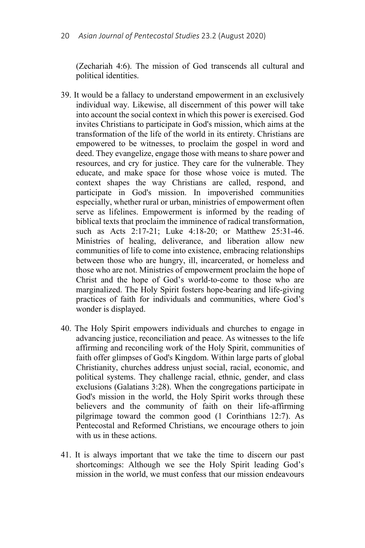(Zechariah 4:6). The mission of God transcends all cultural and political identities.

- 39. It would be a fallacy to understand empowerment in an exclusively individual way. Likewise, all discernment of this power will take into account the social context in which this power is exercised. God invites Christians to participate in God's mission, which aims at the transformation of the life of the world in its entirety. Christians are empowered to be witnesses, to proclaim the gospel in word and deed. They evangelize, engage those with means to share power and resources, and cry for justice. They care for the vulnerable. They educate, and make space for those whose voice is muted. The context shapes the way Christians are called, respond, and participate in God's mission. In impoverished communities especially, whether rural or urban, ministries of empowerment often serve as lifelines. Empowerment is informed by the reading of biblical texts that proclaim the imminence of radical transformation, such as Acts 2:17-21; Luke 4:18-20; or Matthew 25:31-46. Ministries of healing, deliverance, and liberation allow new communities of life to come into existence, embracing relationships between those who are hungry, ill, incarcerated, or homeless and those who are not. Ministries of empowerment proclaim the hope of Christ and the hope of God's world-to-come to those who are marginalized. The Holy Spirit fosters hope-bearing and life-giving practices of faith for individuals and communities, where God's wonder is displayed.
- 40. The Holy Spirit empowers individuals and churches to engage in advancing justice, reconciliation and peace. As witnesses to the life affirming and reconciling work of the Holy Spirit, communities of faith offer glimpses of God's Kingdom. Within large parts of global Christianity, churches address unjust social, racial, economic, and political systems. They challenge racial, ethnic, gender, and class exclusions (Galatians 3:28). When the congregations participate in God's mission in the world, the Holy Spirit works through these believers and the community of faith on their life-affirming pilgrimage toward the common good (1 Corinthians 12:7). As Pentecostal and Reformed Christians, we encourage others to join with us in these actions.
- 41. It is always important that we take the time to discern our past shortcomings: Although we see the Holy Spirit leading God's mission in the world, we must confess that our mission endeavours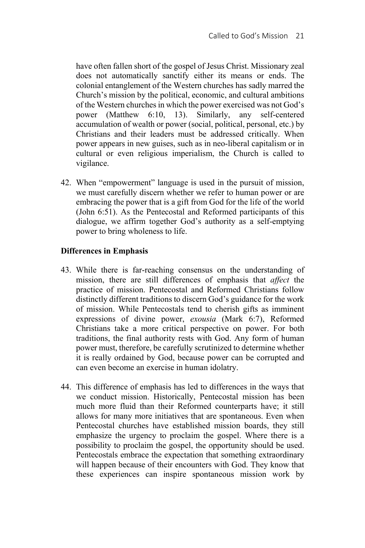have often fallen short of the gospel of Jesus Christ. Missionary zeal does not automatically sanctify either its means or ends. The colonial entanglement of the Western churches has sadly marred the Church's mission by the political, economic, and cultural ambitions of the Western churches in which the power exercised was not God's power (Matthew 6:10, 13). Similarly, any self-centered accumulation of wealth or power (social, political, personal, etc.) by Christians and their leaders must be addressed critically. When power appears in new guises, such as in neo-liberal capitalism or in cultural or even religious imperialism, the Church is called to vigilance.

42. When "empowerment" language is used in the pursuit of mission, we must carefully discern whether we refer to human power or are embracing the power that is a gift from God for the life of the world (John 6:51). As the Pentecostal and Reformed participants of this dialogue, we affirm together God's authority as a self-emptying power to bring wholeness to life.

# **Differences in Emphasis**

- 43. While there is far-reaching consensus on the understanding of mission, there are still differences of emphasis that *affect* the practice of mission. Pentecostal and Reformed Christians follow distinctly different traditions to discern God's guidance for the work of mission. While Pentecostals tend to cherish gifts as imminent expressions of divine power, *exousia* (Mark 6:7), Reformed Christians take a more critical perspective on power. For both traditions, the final authority rests with God. Any form of human power must, therefore, be carefully scrutinized to determine whether it is really ordained by God, because power can be corrupted and can even become an exercise in human idolatry.
- 44. This difference of emphasis has led to differences in the ways that we conduct mission. Historically, Pentecostal mission has been much more fluid than their Reformed counterparts have; it still allows for many more initiatives that are spontaneous. Even when Pentecostal churches have established mission boards, they still emphasize the urgency to proclaim the gospel. Where there is a possibility to proclaim the gospel, the opportunity should be used. Pentecostals embrace the expectation that something extraordinary will happen because of their encounters with God. They know that these experiences can inspire spontaneous mission work by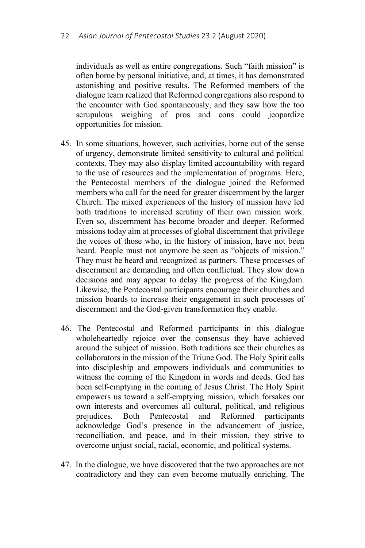individuals as well as entire congregations. Such "faith mission" is often borne by personal initiative, and, at times, it has demonstrated astonishing and positive results. The Reformed members of the dialogue team realized that Reformed congregations also respond to the encounter with God spontaneously, and they saw how the too scrupulous weighing of pros and cons could jeopardize opportunities for mission.

- 45. In some situations, however, such activities, borne out of the sense of urgency, demonstrate limited sensitivity to cultural and political contexts. They may also display limited accountability with regard to the use of resources and the implementation of programs. Here, the Pentecostal members of the dialogue joined the Reformed members who call for the need for greater discernment by the larger Church. The mixed experiences of the history of mission have led both traditions to increased scrutiny of their own mission work. Even so, discernment has become broader and deeper. Reformed missions today aim at processes of global discernment that privilege the voices of those who, in the history of mission, have not been heard. People must not anymore be seen as "objects of mission." They must be heard and recognized as partners. These processes of discernment are demanding and often conflictual. They slow down decisions and may appear to delay the progress of the Kingdom. Likewise, the Pentecostal participants encourage their churches and mission boards to increase their engagement in such processes of discernment and the God-given transformation they enable.
- 46. The Pentecostal and Reformed participants in this dialogue wholeheartedly rejoice over the consensus they have achieved around the subject of mission. Both traditions see their churches as collaborators in the mission of the Triune God. The Holy Spirit calls into discipleship and empowers individuals and communities to witness the coming of the Kingdom in words and deeds. God has been self-emptying in the coming of Jesus Christ. The Holy Spirit empowers us toward a self-emptying mission, which forsakes our own interests and overcomes all cultural, political, and religious prejudices. Both Pentecostal and Reformed participants acknowledge God's presence in the advancement of justice, reconciliation, and peace, and in their mission, they strive to overcome unjust social, racial, economic, and political systems.
- 47. In the dialogue, we have discovered that the two approaches are not contradictory and they can even become mutually enriching. The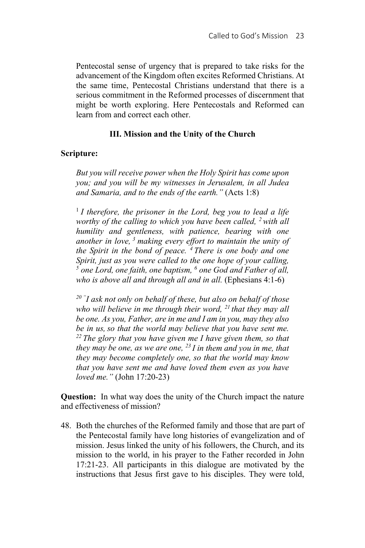Pentecostal sense of urgency that is prepared to take risks for the advancement of the Kingdom often excites Reformed Christians. At the same time, Pentecostal Christians understand that there is a serious commitment in the Reformed processes of discernment that might be worth exploring. Here Pentecostals and Reformed can learn from and correct each other.

## **III. Mission and the Unity of the Church**

### **Scripture:**

*But you will receive power when the Holy Spirit has come upon you; and you will be my witnesses in Jerusalem, in all Judea and Samaria, and to the ends of the earth."* (Acts 1:8)

<sup>1</sup>*I therefore, the prisoner in the Lord, beg you to lead a life worthy of the calling to which you have been called, 2 with all humility and gentleness, with patience, bearing with one another in love, 3 making every effort to maintain the unity of the Spirit in the bond of peace. 4 There is one body and one Spirit, just as you were called to the one hope of your calling,* <sup>5</sup> one Lord, one faith, one baptism, <sup>6</sup> one God and Father of all, *who is above all and through all and in all.* (Ephesians 4:1-6)

*20 "I ask not only on behalf of these, but also on behalf of those who will believe in me through their word, 21 that they may all be one. As you, Father, are in me and I am in you, may they also be in us, so that the world may believe that you have sent me. 22 The glory that you have given me I have given them, so that they may be one, as we are one, 23 I in them and you in me, that they may become completely one, so that the world may know that you have sent me and have loved them even as you have loved me."* (John 17:20-23)

**Question:** In what way does the unity of the Church impact the nature and effectiveness of mission?

48. Both the churches of the Reformed family and those that are part of the Pentecostal family have long histories of evangelization and of mission. Jesus linked the unity of his followers, the Church, and its mission to the world, in his prayer to the Father recorded in John 17:21-23. All participants in this dialogue are motivated by the instructions that Jesus first gave to his disciples. They were told,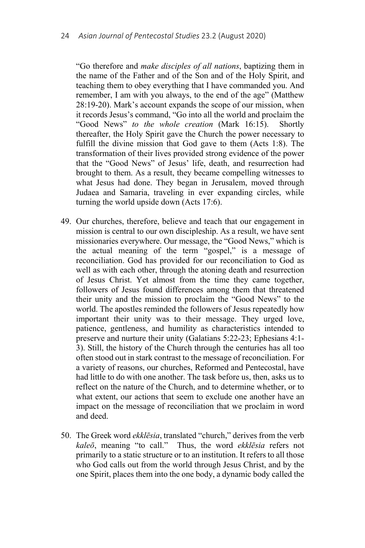"Go therefore and *make disciples of all nations*, baptizing them in the name of the Father and of the Son and of the Holy Spirit, and teaching them to obey everything that I have commanded you. And remember, I am with you always, to the end of the age" (Matthew 28:19-20). Mark's account expands the scope of our mission, when it records Jesus's command, "Go into all the world and proclaim the "Good News" *to the whole creation* (Mark 16:15). Shortly thereafter, the Holy Spirit gave the Church the power necessary to fulfill the divine mission that God gave to them (Acts 1:8). The transformation of their lives provided strong evidence of the power that the "Good News" of Jesus' life, death, and resurrection had brought to them. As a result, they became compelling witnesses to what Jesus had done. They began in Jerusalem, moved through Judaea and Samaria, traveling in ever expanding circles, while turning the world upside down (Acts 17:6).

- 49. Our churches, therefore, believe and teach that our engagement in mission is central to our own discipleship. As a result, we have sent missionaries everywhere. Our message, the "Good News," which is the actual meaning of the term "gospel," is a message of reconciliation. God has provided for our reconciliation to God as well as with each other, through the atoning death and resurrection of Jesus Christ. Yet almost from the time they came together, followers of Jesus found differences among them that threatened their unity and the mission to proclaim the "Good News" to the world. The apostles reminded the followers of Jesus repeatedly how important their unity was to their message. They urged love, patience, gentleness, and humility as characteristics intended to preserve and nurture their unity (Galatians 5:22-23; Ephesians 4:1- 3). Still, the history of the Church through the centuries has all too often stood out in stark contrast to the message of reconciliation. For a variety of reasons, our churches, Reformed and Pentecostal, have had little to do with one another. The task before us, then, asks us to reflect on the nature of the Church, and to determine whether, or to what extent, our actions that seem to exclude one another have an impact on the message of reconciliation that we proclaim in word and deed.
- 50. The Greek word *ekklēsia*, translated "church," derives from the verb *kaleō*, meaning "to call." Thus, the word *ekklēsia* refers not primarily to a static structure or to an institution. It refers to all those who God calls out from the world through Jesus Christ, and by the one Spirit, places them into the one body, a dynamic body called the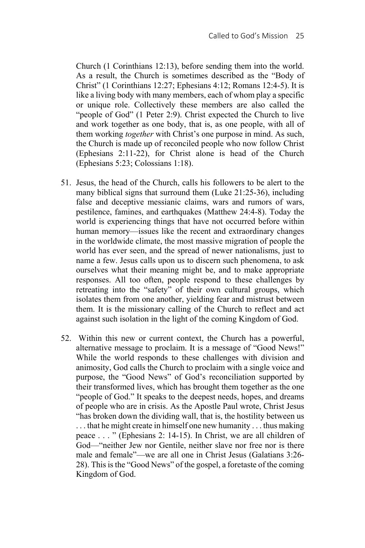Church (1 Corinthians 12:13), before sending them into the world. As a result, the Church is sometimes described as the "Body of Christ" (1 Corinthians 12:27; Ephesians 4:12; Romans 12:4-5). It is like a living body with many members, each of whom play a specific or unique role. Collectively these members are also called the "people of God" (1 Peter 2:9). Christ expected the Church to live and work together as one body, that is, as one people, with all of them working *together* with Christ's one purpose in mind. As such, the Church is made up of reconciled people who now follow Christ (Ephesians 2:11-22), for Christ alone is head of the Church (Ephesians 5:23; Colossians 1:18).

- 51. Jesus, the head of the Church, calls his followers to be alert to the many biblical signs that surround them (Luke 21:25-36), including false and deceptive messianic claims, wars and rumors of wars, pestilence, famines, and earthquakes (Matthew 24:4-8). Today the world is experiencing things that have not occurred before within human memory—issues like the recent and extraordinary changes in the worldwide climate, the most massive migration of people the world has ever seen, and the spread of newer nationalisms, just to name a few. Jesus calls upon us to discern such phenomena, to ask ourselves what their meaning might be, and to make appropriate responses. All too often, people respond to these challenges by retreating into the "safety" of their own cultural groups, which isolates them from one another, yielding fear and mistrust between them. It is the missionary calling of the Church to reflect and act against such isolation in the light of the coming Kingdom of God.
- 52. Within this new or current context, the Church has a powerful, alternative message to proclaim. It is a message of "Good News!" While the world responds to these challenges with division and animosity, God calls the Church to proclaim with a single voice and purpose, the "Good News" of God's reconciliation supported by their transformed lives, which has brought them together as the one "people of God." It speaks to the deepest needs, hopes, and dreams of people who are in crisis. As the Apostle Paul wrote, Christ Jesus "has broken down the dividing wall, that is, the hostility between us . . . that he might create in himself one new humanity . . . thus making peace . . . " (Ephesians 2: 14-15). In Christ, we are all children of God—"neither Jew nor Gentile, neither slave nor free nor is there male and female"—we are all one in Christ Jesus (Galatians 3:26- 28). This is the "Good News" of the gospel, a foretaste of the coming Kingdom of God.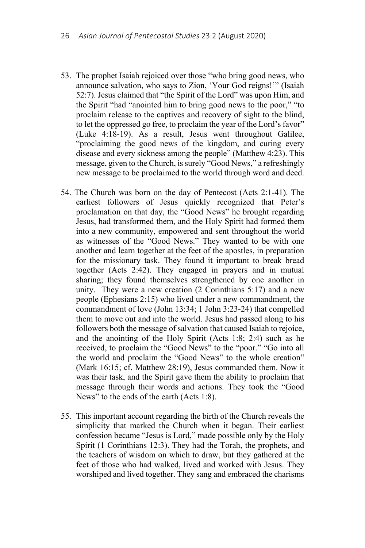- 53. The prophet Isaiah rejoiced over those "who bring good news, who announce salvation, who says to Zion, 'Your God reigns!'" (Isaiah 52:7). Jesus claimed that "the Spirit of the Lord" was upon Him, and the Spirit "had "anointed him to bring good news to the poor," "to proclaim release to the captives and recovery of sight to the blind, to let the oppressed go free, to proclaim the year of the Lord's favor" (Luke 4:18-19). As a result, Jesus went throughout Galilee, "proclaiming the good news of the kingdom, and curing every disease and every sickness among the people" (Matthew 4:23). This message, given to the Church, is surely "Good News," a refreshingly new message to be proclaimed to the world through word and deed.
- 54. The Church was born on the day of Pentecost (Acts 2:1-41). The earliest followers of Jesus quickly recognized that Peter's proclamation on that day, the "Good News" he brought regarding Jesus, had transformed them, and the Holy Spirit had formed them into a new community, empowered and sent throughout the world as witnesses of the "Good News." They wanted to be with one another and learn together at the feet of the apostles, in preparation for the missionary task. They found it important to break bread together (Acts 2:42). They engaged in prayers and in mutual sharing; they found themselves strengthened by one another in unity. They were a new creation (2 Corinthians 5:17) and a new people (Ephesians 2:15) who lived under a new commandment, the commandment of love (John 13:34; 1 John 3:23-24) that compelled them to move out and into the world. Jesus had passed along to his followers both the message of salvation that caused Isaiah to rejoice, and the anointing of the Holy Spirit (Acts 1:8; 2:4) such as he received, to proclaim the "Good News" to the "poor." "Go into all the world and proclaim the "Good News" to the whole creation" (Mark 16:15; cf. Matthew 28:19), Jesus commanded them. Now it was their task, and the Spirit gave them the ability to proclaim that message through their words and actions. They took the "Good News" to the ends of the earth (Acts 1:8).
- 55. This important account regarding the birth of the Church reveals the simplicity that marked the Church when it began. Their earliest confession became "Jesus is Lord," made possible only by the Holy Spirit (1 Corinthians 12:3). They had the Torah, the prophets, and the teachers of wisdom on which to draw, but they gathered at the feet of those who had walked, lived and worked with Jesus. They worshiped and lived together. They sang and embraced the charisms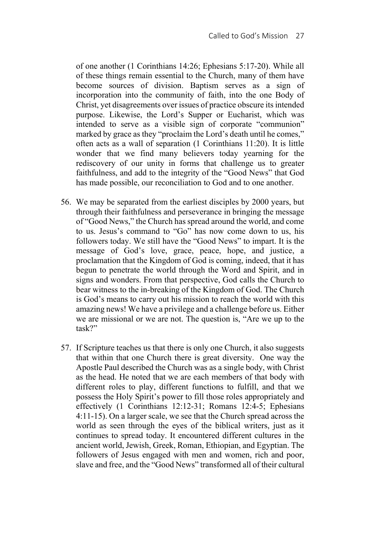of one another (1 Corinthians 14:26; Ephesians 5:17-20). While all of these things remain essential to the Church, many of them have become sources of division. Baptism serves as a sign of incorporation into the community of faith, into the one Body of Christ, yet disagreements over issues of practice obscure its intended purpose. Likewise, the Lord's Supper or Eucharist, which was intended to serve as a visible sign of corporate "communion" marked by grace as they "proclaim the Lord's death until he comes," often acts as a wall of separation (1 Corinthians 11:20). It is little wonder that we find many believers today yearning for the rediscovery of our unity in forms that challenge us to greater faithfulness, and add to the integrity of the "Good News" that God has made possible, our reconciliation to God and to one another.

- 56. We may be separated from the earliest disciples by 2000 years, but through their faithfulness and perseverance in bringing the message of "Good News," the Church has spread around the world, and come to us. Jesus's command to "Go" has now come down to us, his followers today. We still have the "Good News" to impart. It is the message of God's love, grace, peace, hope, and justice, a proclamation that the Kingdom of God is coming, indeed, that it has begun to penetrate the world through the Word and Spirit, and in signs and wonders. From that perspective, God calls the Church to bear witness to the in-breaking of the Kingdom of God. The Church is God's means to carry out his mission to reach the world with this amazing news! We have a privilege and a challenge before us. Either we are missional or we are not. The question is, "Are we up to the task?"
- 57. If Scripture teaches us that there is only one Church, it also suggests that within that one Church there is great diversity. One way the Apostle Paul described the Church was as a single body, with Christ as the head. He noted that we are each members of that body with different roles to play, different functions to fulfill, and that we possess the Holy Spirit's power to fill those roles appropriately and effectively (1 Corinthians 12:12-31; Romans 12:4-5; Ephesians 4:11-15). On a larger scale, we see that the Church spread across the world as seen through the eyes of the biblical writers, just as it continues to spread today. It encountered different cultures in the ancient world, Jewish, Greek, Roman, Ethiopian, and Egyptian. The followers of Jesus engaged with men and women, rich and poor, slave and free, and the "Good News" transformed all of their cultural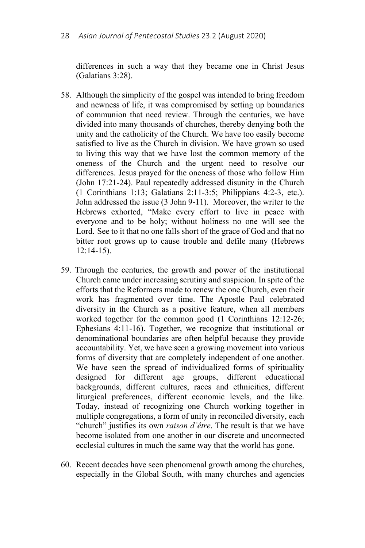differences in such a way that they became one in Christ Jesus (Galatians 3:28).

- 58. Although the simplicity of the gospel was intended to bring freedom and newness of life, it was compromised by setting up boundaries of communion that need review. Through the centuries, we have divided into many thousands of churches, thereby denying both the unity and the catholicity of the Church. We have too easily become satisfied to live as the Church in division. We have grown so used to living this way that we have lost the common memory of the oneness of the Church and the urgent need to resolve our differences. Jesus prayed for the oneness of those who follow Him (John 17:21-24). Paul repeatedly addressed disunity in the Church (1 Corinthians 1:13; Galatians 2:11-3:5; Philippians 4:2-3, etc.). John addressed the issue (3 John 9-11). Moreover, the writer to the Hebrews exhorted, "Make every effort to live in peace with everyone and to be holy; without holiness no one will see the Lord. See to it that no one falls short of the grace of God and that no bitter root grows up to cause trouble and defile many (Hebrews 12:14-15).
- 59. Through the centuries, the growth and power of the institutional Church came under increasing scrutiny and suspicion. In spite of the efforts that the Reformers made to renew the one Church, even their work has fragmented over time. The Apostle Paul celebrated diversity in the Church as a positive feature, when all members worked together for the common good (1 Corinthians 12:12-26; Ephesians 4:11-16). Together, we recognize that institutional or denominational boundaries are often helpful because they provide accountability. Yet, we have seen a growing movement into various forms of diversity that are completely independent of one another. We have seen the spread of individualized forms of spirituality designed for different age groups, different educational backgrounds, different cultures, races and ethnicities, different liturgical preferences, different economic levels, and the like. Today, instead of recognizing one Church working together in multiple congregations, a form of unity in reconciled diversity, each "church" justifies its own *raison d'être*. The result is that we have become isolated from one another in our discrete and unconnected ecclesial cultures in much the same way that the world has gone.
- 60. Recent decades have seen phenomenal growth among the churches, especially in the Global South, with many churches and agencies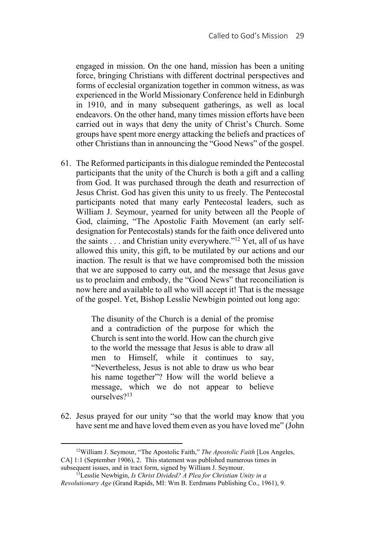engaged in mission. On the one hand, mission has been a uniting force, bringing Christians with different doctrinal perspectives and forms of ecclesial organization together in common witness, as was experienced in the World Missionary Conference held in Edinburgh in 1910, and in many subsequent gatherings, as well as local endeavors. On the other hand, many times mission efforts have been carried out in ways that deny the unity of Christ's Church. Some groups have spent more energy attacking the beliefs and practices of other Christians than in announcing the "Good News" of the gospel.

61. The Reformed participants in this dialogue reminded the Pentecostal participants that the unity of the Church is both a gift and a calling from God. It was purchased through the death and resurrection of Jesus Christ. God has given this unity to us freely. The Pentecostal participants noted that many early Pentecostal leaders, such as William J. Seymour, yearned for unity between all the People of God, claiming, "The Apostolic Faith Movement (an early selfdesignation for Pentecostals) stands for the faith once delivered unto the saints . . . and Christian unity everywhere."12 Yet, all of us have allowed this unity, this gift, to be mutilated by our actions and our inaction. The result is that we have compromised both the mission that we are supposed to carry out, and the message that Jesus gave us to proclaim and embody, the "Good News" that reconciliation is now here and available to all who will accept it! That is the message of the gospel. Yet, Bishop Lesslie Newbigin pointed out long ago:

> The disunity of the Church is a denial of the promise and a contradiction of the purpose for which the Church is sent into the world. How can the church give to the world the message that Jesus is able to draw all men to Himself, while it continues to say, "Nevertheless, Jesus is not able to draw us who bear his name together"? How will the world believe a message, which we do not appear to believe ourselves?13

62. Jesus prayed for our unity "so that the world may know that you have sent me and have loved them even as you have loved me" (John

 <sup>12</sup>William J. Seymour, "The Apostolic Faith," *The Apostolic Faith* [Los Angeles, CA] 1:1 (September 1906), 2. This statement was published numerous times in

subsequent issues, and in tract form, signed by William J. Seymour. 13Lesslie Newbigin, *Is Christ Divided? A Plea for Christian Unity in a Revolutionary Age* (Grand Rapids, MI: Wm B. Eerdmans Publishing Co., 1961), 9.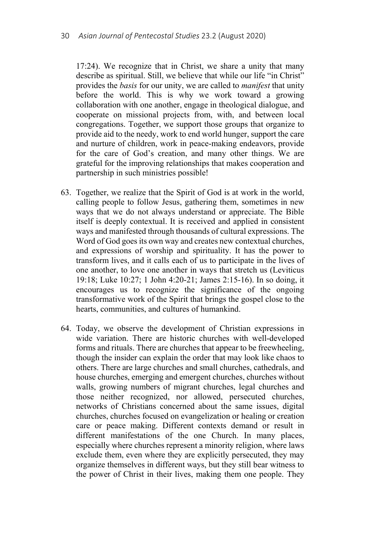17:24). We recognize that in Christ, we share a unity that many describe as spiritual. Still, we believe that while our life "in Christ" provides the *basis* for our unity, we are called to *manifest* that unity before the world. This is why we work toward a growing collaboration with one another, engage in theological dialogue, and cooperate on missional projects from, with, and between local congregations. Together, we support those groups that organize to provide aid to the needy, work to end world hunger, support the care and nurture of children, work in peace-making endeavors, provide for the care of God's creation, and many other things. We are grateful for the improving relationships that makes cooperation and partnership in such ministries possible!

- 63. Together, we realize that the Spirit of God is at work in the world, calling people to follow Jesus, gathering them, sometimes in new ways that we do not always understand or appreciate. The Bible itself is deeply contextual. It is received and applied in consistent ways and manifested through thousands of cultural expressions. The Word of God goes its own way and creates new contextual churches, and expressions of worship and spirituality. It has the power to transform lives, and it calls each of us to participate in the lives of one another, to love one another in ways that stretch us (Leviticus 19:18; Luke 10:27; 1 John 4:20-21; James 2:15-16). In so doing, it encourages us to recognize the significance of the ongoing transformative work of the Spirit that brings the gospel close to the hearts, communities, and cultures of humankind.
- 64. Today, we observe the development of Christian expressions in wide variation. There are historic churches with well-developed forms and rituals. There are churches that appear to be freewheeling, though the insider can explain the order that may look like chaos to others. There are large churches and small churches, cathedrals, and house churches, emerging and emergent churches, churches without walls, growing numbers of migrant churches, legal churches and those neither recognized, nor allowed, persecuted churches, networks of Christians concerned about the same issues, digital churches, churches focused on evangelization or healing or creation care or peace making. Different contexts demand or result in different manifestations of the one Church. In many places, especially where churches represent a minority religion, where laws exclude them, even where they are explicitly persecuted, they may organize themselves in different ways, but they still bear witness to the power of Christ in their lives, making them one people. They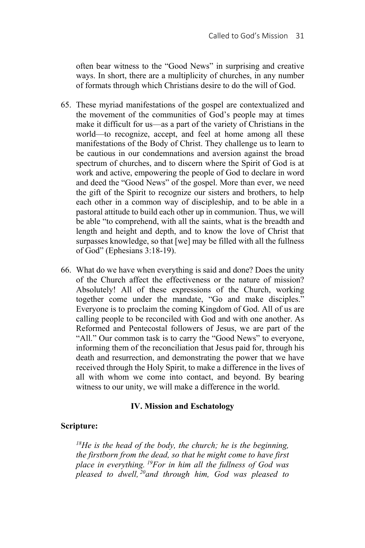often bear witness to the "Good News" in surprising and creative ways. In short, there are a multiplicity of churches, in any number of formats through which Christians desire to do the will of God.

- 65. These myriad manifestations of the gospel are contextualized and the movement of the communities of God's people may at times make it difficult for us—as a part of the variety of Christians in the world—to recognize, accept, and feel at home among all these manifestations of the Body of Christ. They challenge us to learn to be cautious in our condemnations and aversion against the broad spectrum of churches, and to discern where the Spirit of God is at work and active, empowering the people of God to declare in word and deed the "Good News" of the gospel. More than ever, we need the gift of the Spirit to recognize our sisters and brothers, to help each other in a common way of discipleship, and to be able in a pastoral attitude to build each other up in communion. Thus, we will be able "to comprehend, with all the saints, what is the breadth and length and height and depth, and to know the love of Christ that surpasses knowledge, so that [we] may be filled with all the fullness of God" (Ephesians 3:18-19).
- 66. What do we have when everything is said and done? Does the unity of the Church affect the effectiveness or the nature of mission? Absolutely! All of these expressions of the Church, working together come under the mandate, "Go and make disciples." Everyone is to proclaim the coming Kingdom of God. All of us are calling people to be reconciled with God and with one another. As Reformed and Pentecostal followers of Jesus, we are part of the "All." Our common task is to carry the "Good News" to everyone, informing them of the reconciliation that Jesus paid for, through his death and resurrection, and demonstrating the power that we have received through the Holy Spirit, to make a difference in the lives of all with whom we come into contact, and beyond. By bearing witness to our unity, we will make a difference in the world.

### **IV. Mission and Eschatology**

## **Scripture:**

*18He is the head of the body, the church; he is the beginning, the firstborn from the dead, so that he might come to have first place in everything. 19For in him all the fullness of God was pleased to dwell, 20and through him, God was pleased to*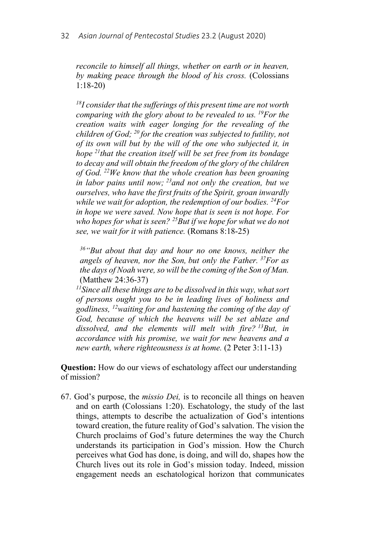*reconcile to himself all things, whether on earth or in heaven, by making peace through the blood of his cross.* (Colossians 1:18-20)

*18I consider that the sufferings of this present time are not worth comparing with the glory about to be revealed to us. 19For the creation waits with eager longing for the revealing of the children of God; 20 for the creation was subjected to futility, not of its own will but by the will of the one who subjected it, in hope 21that the creation itself will be set free from its bondage to decay and will obtain the freedom of the glory of the children of God. 22We know that the whole creation has been groaning in labor pains until now; 23and not only the creation, but we ourselves, who have the first fruits of the Spirit, groan inwardly while we wait for adoption, the redemption of our bodies. 24For in hope we were saved. Now hope that is seen is not hope. For who hopes for what is seen? 25But if we hope for what we do not see, we wait for it with patience.* (Romans 8:18-25)

*36"But about that day and hour no one knows, neither the angels of heaven, nor the Son, but only the Father. 37For as the days of Noah were, so will be the coming of the Son of Man.*  (Matthew 24:36-37)

*11Since all these things are to be dissolved in this way, what sort of persons ought you to be in leading lives of holiness and godliness, 12waiting for and hastening the coming of the day of God, because of which the heavens will be set ablaze and dissolved, and the elements will melt with fire? 13But, in accordance with his promise, we wait for new heavens and a new earth, where righteousness is at home.* (2 Peter 3:11-13)

**Question:** How do our views of eschatology affect our understanding of mission?

67. God's purpose, the *missio Dei,* is to reconcile all things on heaven and on earth (Colossians 1:20). Eschatology, the study of the last things, attempts to describe the actualization of God's intentions toward creation, the future reality of God's salvation. The vision the Church proclaims of God's future determines the way the Church understands its participation in God's mission. How the Church perceives what God has done, is doing, and will do, shapes how the Church lives out its role in God's mission today. Indeed, mission engagement needs an eschatological horizon that communicates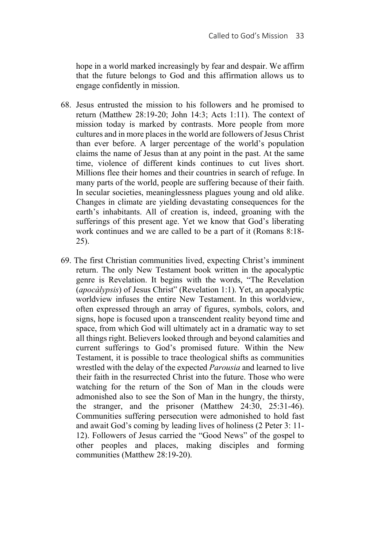hope in a world marked increasingly by fear and despair. We affirm that the future belongs to God and this affirmation allows us to engage confidently in mission.

- 68. Jesus entrusted the mission to his followers and he promised to return (Matthew 28:19-20; John 14:3; Acts 1:11). The context of mission today is marked by contrasts. More people from more cultures and in more places in the world are followers of Jesus Christ than ever before. A larger percentage of the world's population claims the name of Jesus than at any point in the past. At the same time, violence of different kinds continues to cut lives short. Millions flee their homes and their countries in search of refuge. In many parts of the world, people are suffering because of their faith. In secular societies, meaninglessness plagues young and old alike. Changes in climate are yielding devastating consequences for the earth's inhabitants. All of creation is, indeed, groaning with the sufferings of this present age. Yet we know that God's liberating work continues and we are called to be a part of it (Romans 8:18- 25).
- 69. The first Christian communities lived, expecting Christ's imminent return. The only New Testament book written in the apocalyptic genre is Revelation. It begins with the words, "The Revelation (*apocàlypsis*) of Jesus Christ" (Revelation 1:1). Yet, an apocalyptic worldview infuses the entire New Testament. In this worldview, often expressed through an array of figures, symbols, colors, and signs, hope is focused upon a transcendent reality beyond time and space, from which God will ultimately act in a dramatic way to set all things right. Believers looked through and beyond calamities and current sufferings to God's promised future. Within the New Testament, it is possible to trace theological shifts as communities wrestled with the delay of the expected *Parousia* and learned to live their faith in the resurrected Christ into the future. Those who were watching for the return of the Son of Man in the clouds were admonished also to see the Son of Man in the hungry, the thirsty, the stranger, and the prisoner (Matthew 24:30, 25:31-46). Communities suffering persecution were admonished to hold fast and await God's coming by leading lives of holiness (2 Peter 3: 11- 12). Followers of Jesus carried the "Good News" of the gospel to other peoples and places, making disciples and forming communities (Matthew 28:19-20).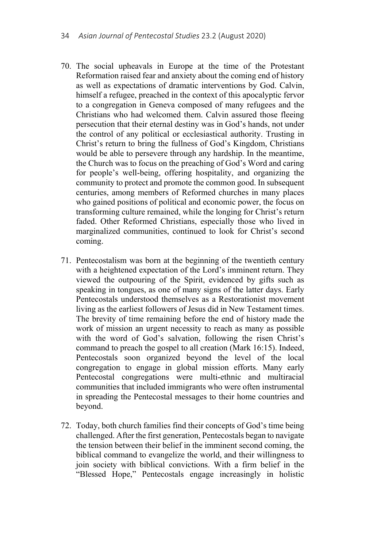- 70. The social upheavals in Europe at the time of the Protestant Reformation raised fear and anxiety about the coming end of history as well as expectations of dramatic interventions by God. Calvin, himself a refugee, preached in the context of this apocalyptic fervor to a congregation in Geneva composed of many refugees and the Christians who had welcomed them. Calvin assured those fleeing persecution that their eternal destiny was in God's hands, not under the control of any political or ecclesiastical authority. Trusting in Christ's return to bring the fullness of God's Kingdom, Christians would be able to persevere through any hardship. In the meantime, the Church was to focus on the preaching of God's Word and caring for people's well-being, offering hospitality, and organizing the community to protect and promote the common good. In subsequent centuries, among members of Reformed churches in many places who gained positions of political and economic power, the focus on transforming culture remained, while the longing for Christ's return faded. Other Reformed Christians, especially those who lived in marginalized communities, continued to look for Christ's second coming.
- 71. Pentecostalism was born at the beginning of the twentieth century with a heightened expectation of the Lord's imminent return. They viewed the outpouring of the Spirit, evidenced by gifts such as speaking in tongues, as one of many signs of the latter days. Early Pentecostals understood themselves as a Restorationist movement living as the earliest followers of Jesus did in New Testament times. The brevity of time remaining before the end of history made the work of mission an urgent necessity to reach as many as possible with the word of God's salvation, following the risen Christ's command to preach the gospel to all creation (Mark 16:15). Indeed, Pentecostals soon organized beyond the level of the local congregation to engage in global mission efforts. Many early Pentecostal congregations were multi-ethnic and multiracial communities that included immigrants who were often instrumental in spreading the Pentecostal messages to their home countries and beyond.
- 72. Today, both church families find their concepts of God's time being challenged. After the first generation, Pentecostals began to navigate the tension between their belief in the imminent second coming, the biblical command to evangelize the world, and their willingness to join society with biblical convictions. With a firm belief in the "Blessed Hope," Pentecostals engage increasingly in holistic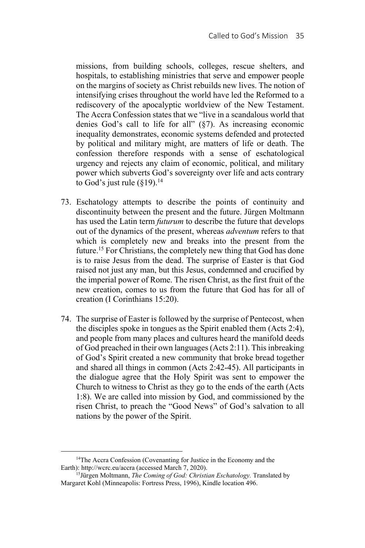missions, from building schools, colleges, rescue shelters, and hospitals, to establishing ministries that serve and empower people on the margins of society as Christ rebuilds new lives. The notion of intensifying crises throughout the world have led the Reformed to a rediscovery of the apocalyptic worldview of the New Testament. The Accra Confession states that we "live in a scandalous world that denies God's call to life for all" (§7). As increasing economic inequality demonstrates, economic systems defended and protected by political and military might, are matters of life or death. The confession therefore responds with a sense of eschatological urgency and rejects any claim of economic, political, and military power which subverts God's sovereignty over life and acts contrary to God's just rule  $(\S19)^{14}$ 

- 73. Eschatology attempts to describe the points of continuity and discontinuity between the present and the future. Jürgen Moltmann has used the Latin term *futurum* to describe the future that develops out of the dynamics of the present, whereas *adventum* refers to that which is completely new and breaks into the present from the future.15 For Christians, the completely new thing that God has done is to raise Jesus from the dead. The surprise of Easter is that God raised not just any man, but this Jesus, condemned and crucified by the imperial power of Rome. The risen Christ, as the first fruit of the new creation, comes to us from the future that God has for all of creation (I Corinthians 15:20).
- 74. The surprise of Easter is followed by the surprise of Pentecost, when the disciples spoke in tongues as the Spirit enabled them (Acts 2:4), and people from many places and cultures heard the manifold deeds of God preached in their own languages (Acts 2:11). This inbreaking of God's Spirit created a new community that broke bread together and shared all things in common (Acts 2:42-45). All participants in the dialogue agree that the Holy Spirit was sent to empower the Church to witness to Christ as they go to the ends of the earth (Acts 1:8). We are called into mission by God, and commissioned by the risen Christ, to preach the "Good News" of God's salvation to all nations by the power of the Spirit.

<sup>&</sup>lt;sup>14</sup>The Accra Confession (Covenanting for Justice in the Economy and the Earth): http://wcrc.eu/accra (accessed March 7, 2020). 15Jürgen Moltmann, *The Coming of God: Christian Eschatology.* Translated by

Margaret Kohl (Minneapolis: Fortress Press, 1996), Kindle location 496.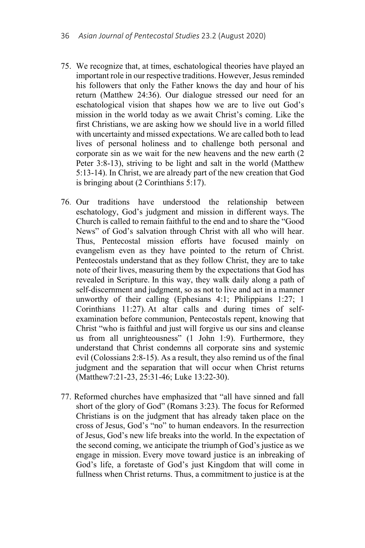- 75. We recognize that, at times, eschatological theories have played an important role in our respective traditions. However, Jesus reminded his followers that only the Father knows the day and hour of his return (Matthew 24:36). Our dialogue stressed our need for an eschatological vision that shapes how we are to live out God's mission in the world today as we await Christ's coming. Like the first Christians, we are asking how we should live in a world filled with uncertainty and missed expectations. We are called both to lead lives of personal holiness and to challenge both personal and corporate sin as we wait for the new heavens and the new earth (2 Peter 3:8-13), striving to be light and salt in the world (Matthew 5:13-14). In Christ, we are already part of the new creation that God is bringing about (2 Corinthians 5:17).
- 76. Our traditions have understood the relationship between eschatology, God's judgment and mission in different ways. The Church is called to remain faithful to the end and to share the "Good News" of God's salvation through Christ with all who will hear. Thus, Pentecostal mission efforts have focused mainly on evangelism even as they have pointed to the return of Christ. Pentecostals understand that as they follow Christ, they are to take note of their lives, measuring them by the expectations that God has revealed in Scripture. In this way, they walk daily along a path of self-discernment and judgment, so as not to live and act in a manner unworthy of their calling (Ephesians 4:1; Philippians 1:27; 1 Corinthians 11:27). At altar calls and during times of selfexamination before communion, Pentecostals repent, knowing that Christ "who is faithful and just will forgive us our sins and cleanse us from all unrighteousness" (1 John 1:9). Furthermore, they understand that Christ condemns all corporate sins and systemic evil (Colossians 2:8-15). As a result, they also remind us of the final judgment and the separation that will occur when Christ returns (Matthew7:21-23, 25:31-46; Luke 13:22-30).
- 77. Reformed churches have emphasized that "all have sinned and fall short of the glory of God" (Romans 3:23). The focus for Reformed Christians is on the judgment that has already taken place on the cross of Jesus, God's "no" to human endeavors. In the resurrection of Jesus, God's new life breaks into the world. In the expectation of the second coming, we anticipate the triumph of God's justice as we engage in mission. Every move toward justice is an inbreaking of God's life, a foretaste of God's just Kingdom that will come in fullness when Christ returns. Thus, a commitment to justice is at the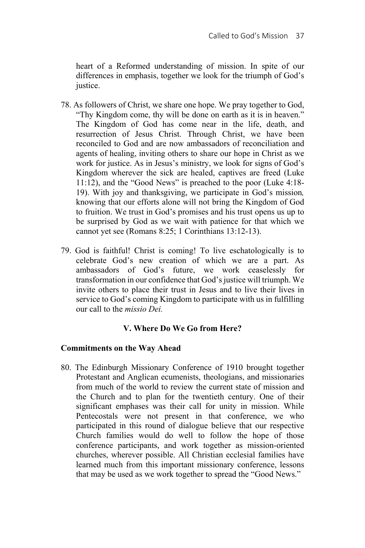heart of a Reformed understanding of mission. In spite of our differences in emphasis, together we look for the triumph of God's justice.

- 78. As followers of Christ, we share one hope. We pray together to God, "Thy Kingdom come, thy will be done on earth as it is in heaven." The Kingdom of God has come near in the life, death, and resurrection of Jesus Christ. Through Christ, we have been reconciled to God and are now ambassadors of reconciliation and agents of healing, inviting others to share our hope in Christ as we work for justice. As in Jesus's ministry, we look for signs of God's Kingdom wherever the sick are healed, captives are freed (Luke 11:12), and the "Good News" is preached to the poor (Luke 4:18- 19). With joy and thanksgiving, we participate in God's mission*,*  knowing that our efforts alone will not bring the Kingdom of God to fruition. We trust in God's promises and his trust opens us up to be surprised by God as we wait with patience for that which we cannot yet see (Romans 8:25; 1 Corinthians 13:12-13).
- 79. God is faithful! Christ is coming! To live eschatologically is to celebrate God's new creation of which we are a part. As ambassadors of God's future, we work ceaselessly for transformation in our confidence that God's justice will triumph. We invite others to place their trust in Jesus and to live their lives in service to God's coming Kingdom to participate with us in fulfilling our call to the *missio Dei.*

## **V. Where Do We Go from Here?**

## **Commitments on the Way Ahead**

80. The Edinburgh Missionary Conference of 1910 brought together Protestant and Anglican ecumenists, theologians, and missionaries from much of the world to review the current state of mission and the Church and to plan for the twentieth century. One of their significant emphases was their call for unity in mission. While Pentecostals were not present in that conference, we who participated in this round of dialogue believe that our respective Church families would do well to follow the hope of those conference participants, and work together as mission-oriented churches, wherever possible. All Christian ecclesial families have learned much from this important missionary conference, lessons that may be used as we work together to spread the "Good News."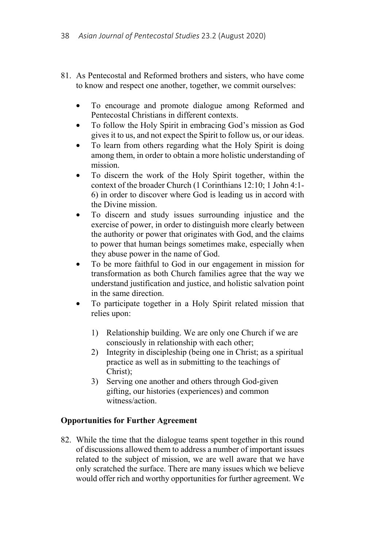- 81. As Pentecostal and Reformed brothers and sisters, who have come to know and respect one another, together, we commit ourselves:
	- To encourage and promote dialogue among Reformed and Pentecostal Christians in different contexts.
	- To follow the Holy Spirit in embracing God's mission as God gives it to us, and not expect the Spirit to follow us, or our ideas.
	- To learn from others regarding what the Holy Spirit is doing among them, in order to obtain a more holistic understanding of mission.
	- To discern the work of the Holy Spirit together, within the context of the broader Church (1 Corinthians 12:10; 1 John 4:1- 6) in order to discover where God is leading us in accord with the Divine mission.
	- To discern and study issues surrounding injustice and the exercise of power, in order to distinguish more clearly between the authority or power that originates with God, and the claims to power that human beings sometimes make, especially when they abuse power in the name of God.
	- To be more faithful to God in our engagement in mission for transformation as both Church families agree that the way we understand justification and justice, and holistic salvation point in the same direction.
	- To participate together in a Holy Spirit related mission that relies upon:
		- 1) Relationship building. We are only one Church if we are consciously in relationship with each other;
		- 2) Integrity in discipleship (being one in Christ; as a spiritual practice as well as in submitting to the teachings of Christ);
		- 3) Serving one another and others through God-given gifting, our histories (experiences) and common witness/action.

# **Opportunities for Further Agreement**

82. While the time that the dialogue teams spent together in this round of discussions allowed them to address a number of important issues related to the subject of mission, we are well aware that we have only scratched the surface. There are many issues which we believe would offer rich and worthy opportunities for further agreement. We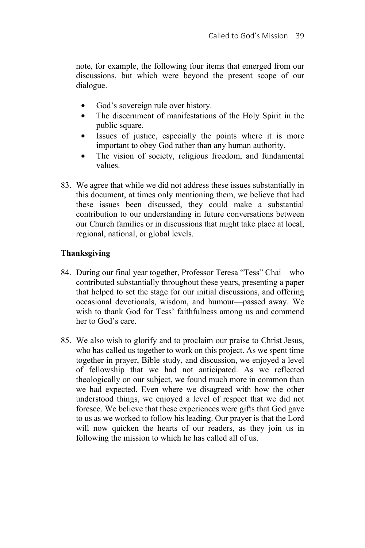note, for example, the following four items that emerged from our discussions, but which were beyond the present scope of our dialogue.

- God's sovereign rule over history.
- The discernment of manifestations of the Holy Spirit in the public square.
- Issues of justice, especially the points where it is more important to obey God rather than any human authority.
- The vision of society, religious freedom, and fundamental values.
- 83. We agree that while we did not address these issues substantially in this document, at times only mentioning them, we believe that had these issues been discussed, they could make a substantial contribution to our understanding in future conversations between our Church families or in discussions that might take place at local, regional, national, or global levels.

## **Thanksgiving**

- 84. During our final year together, Professor Teresa "Tess" Chai—who contributed substantially throughout these years, presenting a paper that helped to set the stage for our initial discussions, and offering occasional devotionals, wisdom, and humour—passed away. We wish to thank God for Tess' faithfulness among us and commend her to God's care.
- 85. We also wish to glorify and to proclaim our praise to Christ Jesus, who has called us together to work on this project. As we spent time together in prayer, Bible study, and discussion, we enjoyed a level of fellowship that we had not anticipated. As we reflected theologically on our subject, we found much more in common than we had expected. Even where we disagreed with how the other understood things, we enjoyed a level of respect that we did not foresee. We believe that these experiences were gifts that God gave to us as we worked to follow his leading. Our prayer is that the Lord will now quicken the hearts of our readers, as they join us in following the mission to which he has called all of us.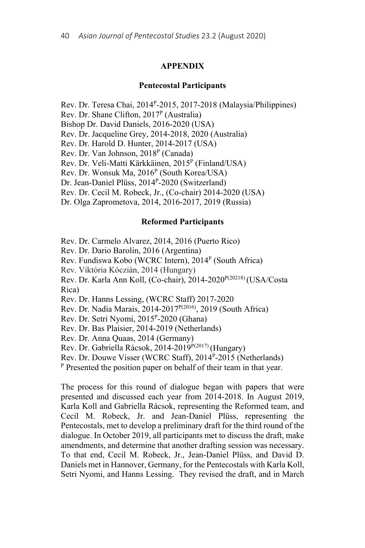#### **APPENDIX**

#### **Pentecostal Participants**

Rev. Dr. Teresa Chai, 2014P-2015, 2017-2018 (Malaysia/Philippines)

Rev. Dr. Shane Clifton,  $2017<sup>P</sup>$  (Australia)

Bishop Dr. David Daniels, 2016-2020 (USA)

Rev. Dr. Jacqueline Grey, 2014-2018, 2020 (Australia)

Rev. Dr. Harold D. Hunter, 2014-2017 (USA)

Rev. Dr. Van Johnson, 2018<sup>P</sup> (Canada)

Rev. Dr. Veli-Matti Kärkkäinen, 2015<sup>P</sup> (Finland/USA)

Rev. Dr. Wonsuk Ma, 2016<sup>P</sup> (South Korea/USA)

Dr. Jean-Daniel Plüss, 2014<sup>P</sup>-2020 (Switzerland)

Rev. Dr. Cecil M. Robeck, Jr., (Co-chair) 2014-2020 (USA)

Dr. Olga Zaprometova, 2014, 2016-2017, 2019 (Russia)

### **Reformed Participants**

Rev. Dr. Carmelo Alvarez, 2014, 2016 (Puerto Rico)

Rev. Dr. Dario Barolin, 2016 (Argentina)

Rev. Fundiswa Kobo (WCRC Intern), 2014<sup>P</sup> (South Africa)

Rev. Viktória Kóczián, 2014 (Hungary)

Rev. Dr. Karla Ann Koll, (Co-chair), 2014-2020<sup>P(20218)</sup> (USA/Costa Rica)

Rev. Dr. Hanns Lessing, (WCRC Staff) 2017-2020

Rev. Dr. Nadia Marais, 2014-2017<sup>P(2016)</sup>, 2019 (South Africa)

Rev. Dr. Setri Nyomi, 2015P-2020 (Ghana)

Rev. Dr. Bas Plaisier, 2014-2019 (Netherlands)

Rev. Dr. Anna Quaas, 2014 (Germany)

Rev. Dr. Gabriella Rácsok, 2014-2019<sup>P(2017)</sup> (Hungary)

Rev. Dr. Douwe Visser (WCRC Staff),  $2014^P-2015$  (Netherlands) P Presented the position paper on behalf of their team in that year.

The process for this round of dialogue began with papers that were presented and discussed each year from 2014-2018. In August 2019, Karla Koll and Gabriella Rácsok, representing the Reformed team, and Cecil M. Robeck, Jr. and Jean-Daniel Plüss, representing the Pentecostals, met to develop a preliminary draft for the third round of the dialogue. In October 2019, all participants met to discuss the draft, make amendments, and determine that another drafting session was necessary. To that end, Cecil M. Robeck, Jr., Jean-Daniel Plüss, and David D. Daniels met in Hannover, Germany, for the Pentecostals with Karla Koll, Setri Nyomi, and Hanns Lessing. They revised the draft, and in March